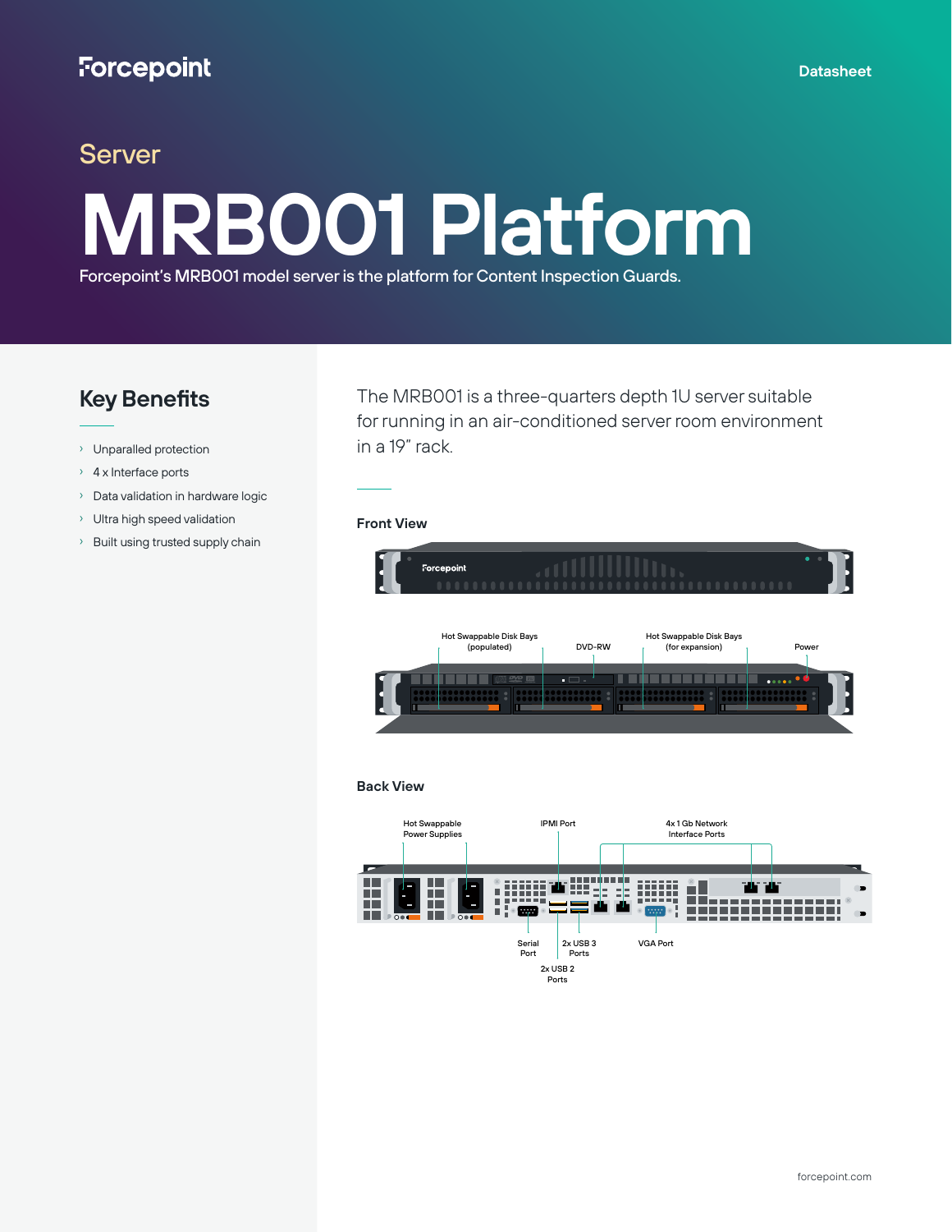# Server **MRB001 Platform**

Forcepoint's MRB001 model server is the platform for Content Inspection Guards.

## **Key Benefits**

- › Unparalled protection
- › 4 x Interface ports
- › Data validation in hardware logic
- › Ultra high speed validation
- › Built using trusted supply chain

The MRB001 is a three-quarters depth 1U server suitable for running in an air-conditioned server room environment in a 19" rack.

#### **Front View**



**Back View**